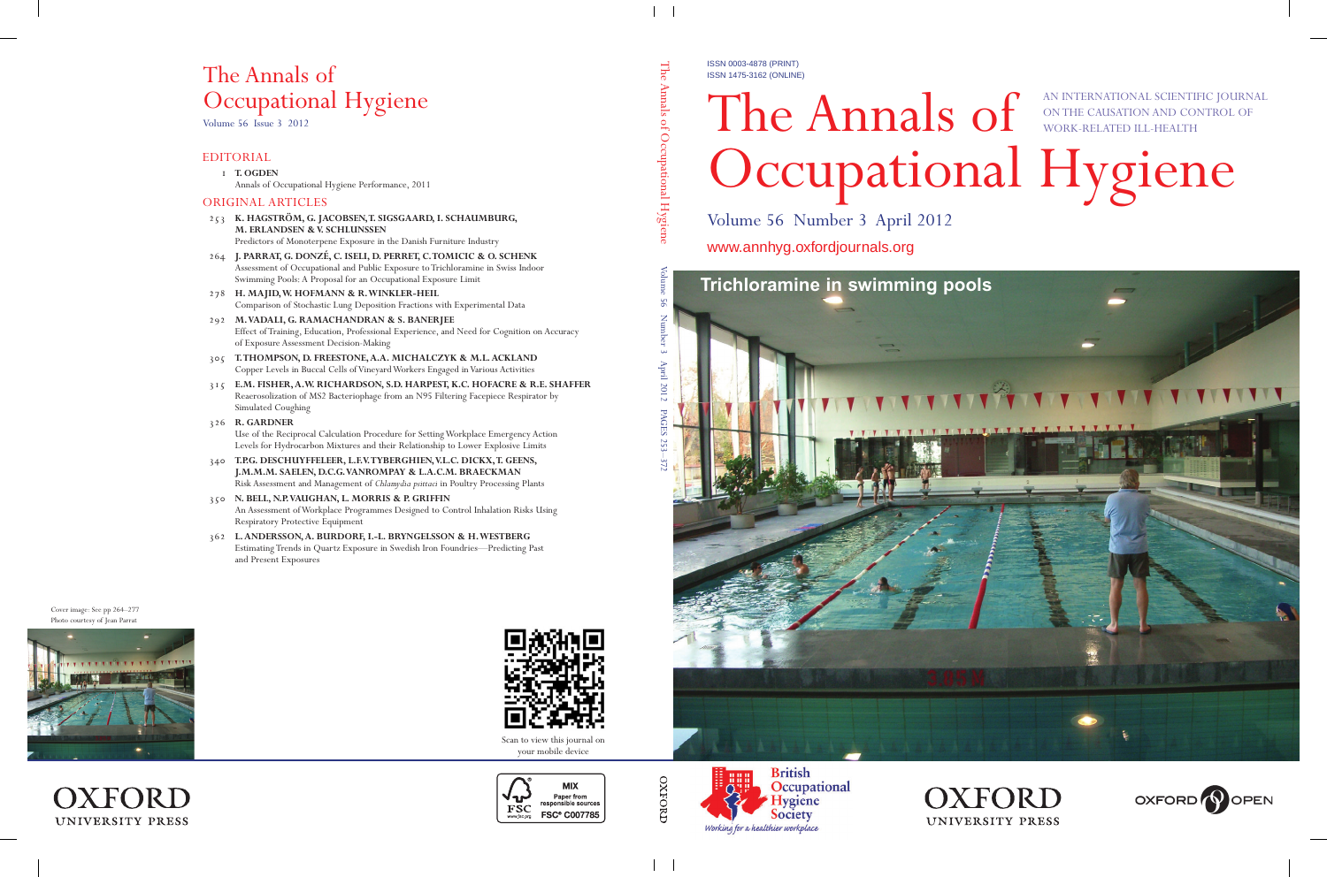ISSN 0003-4878 (PRINT) ISSN 1475-3162 (ONLINE)

## The Annals of Occupational Hygiene AN INTERNATIONAL SCIENTIFIC JOURNAL ON THE CAUSATION AND CONTROL OF WORK-RELATED ILL-HEALTH

Volume 56 Number 3 April 2012

www.annhyg.oxfordjournals.org







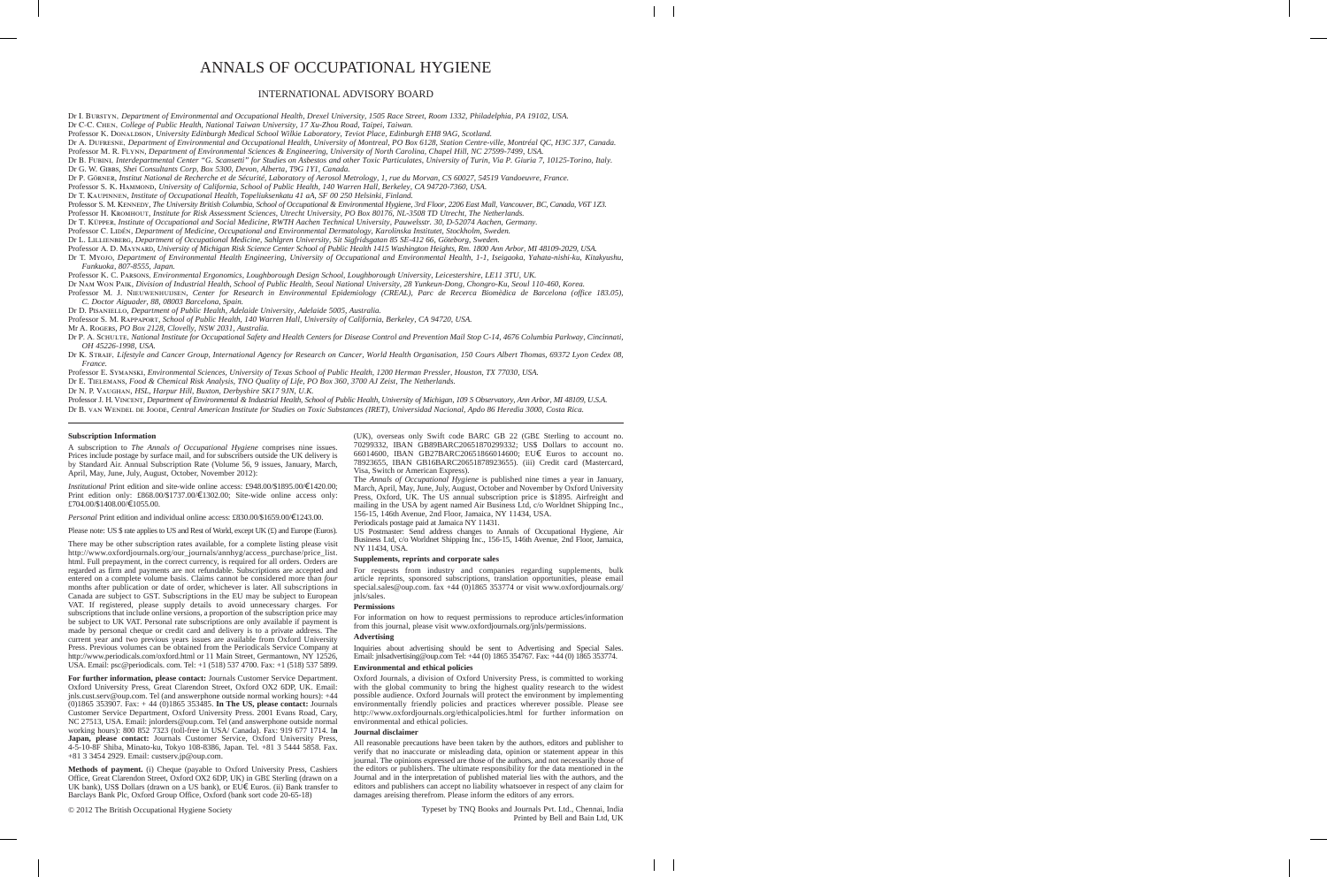## ANNALS OF OCCUPATIONAL HYGIENE

### INTERNATIONAL ADVISORY BOARD

Dr I. Burstyn, *Department of Environmental and Occupational Health, Drexel University, 1505 Race Street, Room 1332, Philadelphia, PA 19102, USA.*

Dr C-C. Chen, *College of Public Health, National Taiwan University, 17 Xu-Zhou Road, Taipei, Taiwan.*

Dr A. Dufresne, *Department of Environmental and Occupational Health, University of Montreal, PO Box 6128, Station Centre-ville, Montréal QC, H3C 3J7, Canada.*  Professor M. R. Flynn, *Department of Environmental Sciences & Engineering, University of North Carolina, Chapel Hill, NC 27599-7499, USA.* 

Dr B. Fubini, *Interdepartmental Center "G. Scansetti" for Studies on Asbestos and other Toxic Particulates, University of Turin, Via P. Giuria 7, 10125-Torino, Italy.* Dr G. W. Gibbs*, Shei Consultants Corp, Box 5300, Devon, Alberta, T9G 1Y1, Canada.* 

Dr P. Görner, *Institut National de Recherche et de Sécurité, Laboratory of Aerosol Metrology, 1, rue du Morvan, CS 60027, 54519 Vandoeuvre, France.*

Professor S. K. Hammond, *University of California, School of Public Health, 140 Warren Hall, Berkeley, CA 94720-7360, USA.* 

Dr T. Kaupinnen, *Institute of Occupational Health, Topeliuksenkatu 41 aA, SF 00 250 Helsinki, Finland.* 

Professor S. M. KENNEDY, *The University British Columbia, School of Occupational & Environmental Hygiene, 3rd Floor, 2206 East Mall, Vancouver, BC, Canada, V6T 1Z3.* 

Professor H. Kromhout, *Institute for Risk Assessment Sciences, Utrecht University, PO Box 80176, NL-3508 TD Utrecht, The Netherlands.*

Dr T. Küpper, *Institute of Occupational and Social Medicine, RWTH Aachen Technical University, Pauwelsstr. 30, D-52074 Aachen, Germany.*

Professor C. Lidén, *Department of Medicine, Occupational and Environmental Dermatology, Karolinska Institutet, Stockholm, Sweden.*

Dr L. Lillienberg, *Department of Occupational Medicine, Sahlgren University, Sit Sigfridsgatan 85 SE-412 66, Göteborg, Sweden.* 

Professor A. D. MAYNARD, University of Michigan Risk Science Center School of Public Health 1415 Washington Heights, Rm. 1800 Ann Arbor, MI 48109-2029, USA.

Dr T. Myojo, *Department of Environmental Health Engineering, University of Occupational and Environmental Health, 1-1, Iseigaoka, Yahata-nishi-ku, Kitakyushu, Funkuoka, 807-8555, Japan.* 

Professor K. C. Parsons, *Environmental Ergonomics, Loughborough Design School, Loughborough University, Leicestershire, LE11 3TU, UK.* 

Dr Nam Won Paik, *Division of Industrial Health, School of Public Health, Seoul National University, 28 Yunkeun-Dong, Chongro-Ku, Seoul 110-460, Korea.* 

Professor M. J. NIEUWENHUIJSEN, Center for Research in Environmental Epidemiology (CREAL), Parc de Recerca Biomèdica de Barcelona (office 183.05), *C. Doctor Aiguader, 88, 08003 Barcelona, Spain.* 

Dr D. Pisaniello, *Department of Public Health, Adelaide University, Adelaide 5005, Australia.* 

Professor S. M. Rappaport, *School of Public Health, 140 Warren Hall, University of California, Berkeley, CA 94720, USA.* 

Mr A. Rogers, *PO Box 2128, Clovelly, NSW 2031, Australia.* 

Dr P. A. SCHULTE, *National Institute for Occupational Safety and Health Centers for Disease Control and Prevention Mail Stop C-14, 4676 Columbia Parkway, Cincinnati, OH 45226-1998, USA.*

Dr K. Straif, *Lifestyle and Cancer Group, International Agency for Research on Cancer, World Health Organisation, 150 Cours Albert Thomas, 69372 Lyon Cedex 08, France.*

Professor E. Symanski, *Environmental Sciences, University of Texas School of Public Health, 1200 Herman Pressler, Houston, TX 77030, USA.* 

Dr E. Tielemans, *Food & Chemical Risk Analysis, TNO Quality of Life, PO Box 360, 3700 AJ Zeist, The Netherlands.*

Dr N. P. Vaughan, *HSL*, *Harpur Hill, Buxton, Derbyshire SK17 9JN, U.K.* 

Professor J. H. Vincent*, Department of Environmental & Industrial Health, School of Public Health, University of Michigan, 109 S Observatory, Ann Arbor, MI 48109, U.S.A.* 

Dr B. van Wendel de Joode*, Central American Institute for Studies on Toxic Substances (IRET), Universidad Nacional, Apdo 86 Heredia 3000, Costa Rica.*

#### **Subscription Information**

A subscription to *The Annals of Occupational Hygiene* comprises nine issues. Prices include postage by surface mail, and for subscribers outside the UK delivery is by Standard Air. Annual Subscription Rate (Volume 56, 9 issues, January, March, April, May, June, July, August, October, November 2012):

*Institutional* Print edition and site-wide online access: £948.00/\$1895.00/€1420.00; Print edition only:  $£868.00/$1737.00/€1302.00$ ; Site-wide online access only: £704.00/\$1408.00/¤1055.00.

*Personal* Print edition and individual online access: £830.00/\$1659.00/€1243.00.

Please note: US \$ rate applies to US and Rest of World, except UK (£) and Europe (Euros).

There may be other subscription rates available, for a complete listing please visit http://www.oxfordjournals.org/our\_journals/annhyg/access\_purchase/price\_list. html. Full prepayment, in the correct currency, is required for all orders. Orders are regarded as firm and payments are not refundable. Subscriptions are accepted and entered on a complete volume basis. Claims cannot be considered more than *four* months after publication or date of order, whichever is later. All subscriptions in Canada are subject to GST. Subscriptions in the EU may be subject to European VAT. If registered, please supply details to avoid unnecessary charges. For subscriptions that include online versions, a proportion of the subscription price may be subject to UK VAT. Personal rate subscriptions are only available if payment is made by personal cheque or credit card and delivery is to a private address. The current year and two previous years issues are available from Oxford University Press. Previous volumes can be obtained from the Periodicals Service Company at http://www.periodicals.com/oxford.html or 11 Main Street, Germantown, NY 12526, USA. Email: psc@periodicals. com. Tel: +1 (518) 537 4700. Fax: +1 (518) 537 5899.

For further information, please contact: Journals Customer Service Department. Oxford University Press, Great Clarendon Street, Oxford OX2 6DP, UK. Email: jnls.cust.serv@oup.com. Tel (and answerphone outside normal working hours): +44 (0)1865 353907. Fax: + 44 (0)1865 353485. **In The US, please contact:** Journals Customer Service Department, Oxford University Press. 2001 Evans Road, Cary, NC 27513, USA. Email: jnlorders@oup.com. Tel (and answerphone outside normal working hours): 800 852 7323 (toll-free in USA/ Canada). Fax: 919 677 1714. I**n Japan, please contact:** Journals Customer Service, Oxford University Press, 4-5-10-8F Shiba, Minato-ku, Tokyo 108-8386, Japan. Tel. +81 3 5444 5858. Fax. +81 3 3454 2929. Email: custserv.jp@oup.com.

**Methods of payment.** (i) Cheque (payable to Oxford University Press, Cashiers Office, Great Clarendon Street, Oxford OX2 6DP, UK) in GB£ Sterling (drawn on a UK bank), US\$ Dollars (drawn on a US bank), or  $E \cup \in$  Euros. (ii) Bank transfer to Barclays Bank Plc, Oxford Group Office, Oxford (bank sort code 20-65-18)

© 2012 The British Occupational Hygiene Society

(UK), overseas only Swift code BARC GB 22 (GB£ Sterling to account no. 70299332, IBAN GB89BARC20651870299332; US\$ Dollars to account no. 66014600, IBAN GB27BARC20651866014600; EU€ Euros to account no. 78923655, IBAN GB16BARC20651878923655). (iii) Credit card (Mastercard, Visa, Switch or American Express).

The *Annals of Occupational Hygiene* is published nine times a year in January, March, April, May, June, July, August, October and November by Oxford University Press, Oxford, UK. The US annual subscription price is \$1895. Airfreight and mailing in the USA by agent named Air Business Ltd, c/o Worldnet Shipping Inc., 156-15, 146th Avenue, 2nd Floor, Jamaica, NY 11434, USA.

Periodicals postage paid at Jamaica NY 11431.

US Postmaster: Send address changes to Annals of Occupational Hygiene, Air Business Ltd, c/o Worldnet Shipping Inc., 156-15, 146th Avenue, 2nd Floor, Jamaica, NY 11434, USA.

#### **Supplements, reprints and corporate sales**

For requests from industry and companies regarding supplements, bulk article reprints, sponsored subscriptions, translation opportunities, please email special.sales@oup.com. fax +44 (0)1865 353774 or visit www.oxfordjournals.org/ jnls/sales.

#### **Permissions**

For information on how to request permissions to reproduce articles/information from this journal, please visit www.oxfordjournals.org/jnls/permissions. **Advertising** 

Inquiries about advertising should be sent to Advertising and Special Sales. Email: jnlsadvertising@oup.com Tel: +44 (0) 1865 354767. Fax: +44 (0) 1865 353774.

#### **Environmental and ethical policies**

Oxford Journals, a division of Oxford University Press, is committed to working with the global community to bring the highest quality research to the widest possible audience. Oxford Journals will protect the environment by implementing environmentally friendly policies and practices wherever possible. Please see http://www.oxfordjournals.org/ethicalpolicies.html for further information on environmental and ethical policies.

#### **Journal disclaimer**

All reasonable precautions have been taken by the authors, editors and publisher to verify that no inaccurate or misleading data, opinion or statement appear in this journal. The opinions expressed are those of the authors, and not necessarily those of the editors or publishers. The ultimate responsibility for the data mentioned in the Journal and in the interpretation of published material lies with the authors, and the editors and publishers can accept no liability whatsoever in respect of any claim for damages areising therefrom. Please inform the editors of any errors.

Professor K. Donaldson, University Edinburgh Medical School Wilkie Laboratory, Teviot Place, Edinburgh EH8 9AG, Scotland.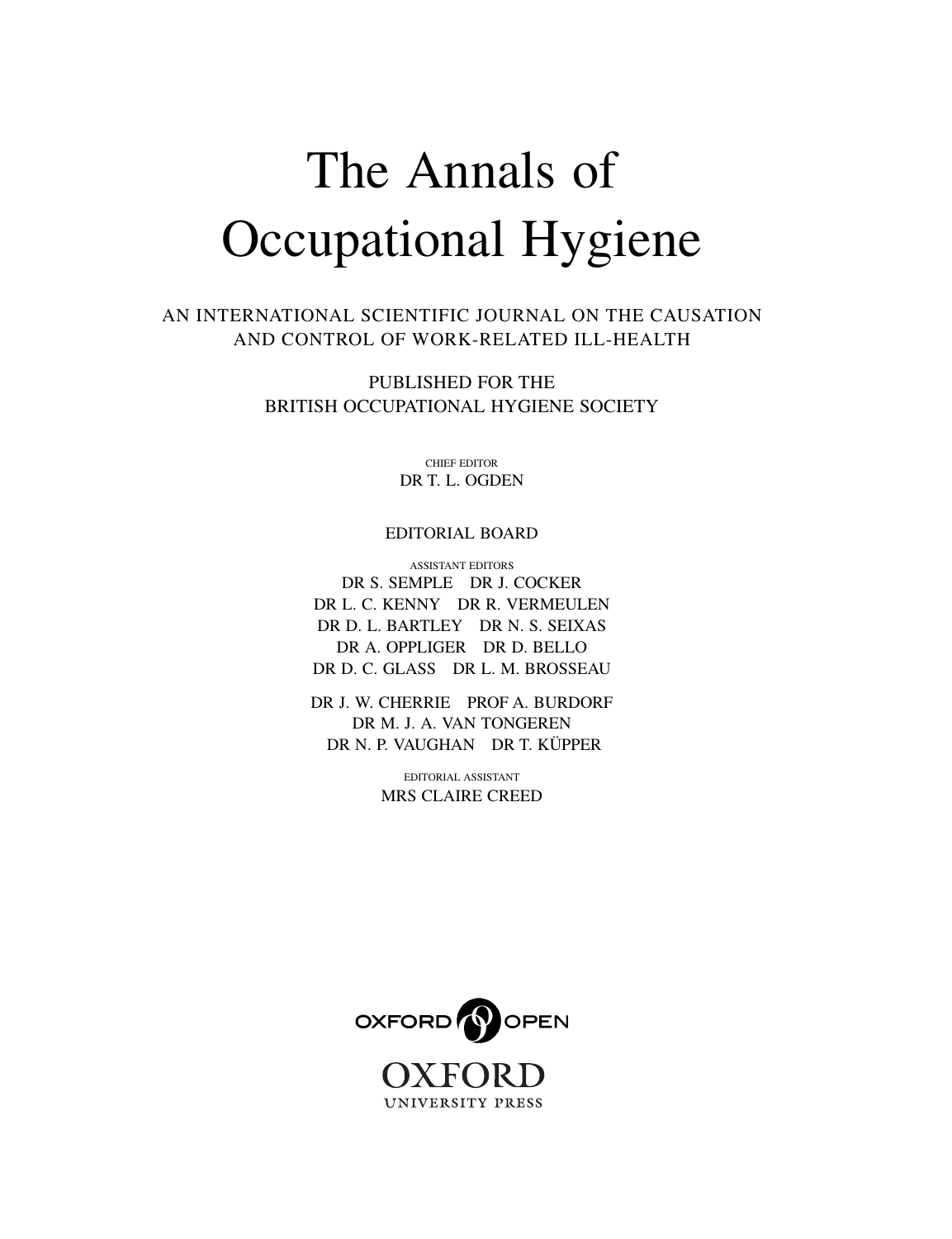# The Annals of Occupational Hygiene

AN INTERNATIONAL SCIENTIFIC JOURNAL ON THE CAUSATION AND CONTROL OF WORK-RELATED ILL-HEALTH

> PUBLISHED FOR THE BRITISH OCCUPATIONAL HYGIENE SOCIETY

> > CHIEF EDITOR DR T. L. OGDEN

#### EDITORIAL BOARD

ASSISTANT EDITORS DR S. SEMPLE DR J. COCKER DR L. C. KENNY DR R. VERMEULEN DR D. L. BARTLEY DR N. S. SEIXAS DR A. OPPLIGER DR D. BELLO DR D. C. GLASS DR L. M. BROSSEAU

DR J. W. CHERRIE PROF A. BURDORF DR M. J. A. VAN TONGEREN DR N. P. VAUGHAN DR T. KÜPPER

> EDITORIAL ASSISTANT MRS CLAIRE CREED

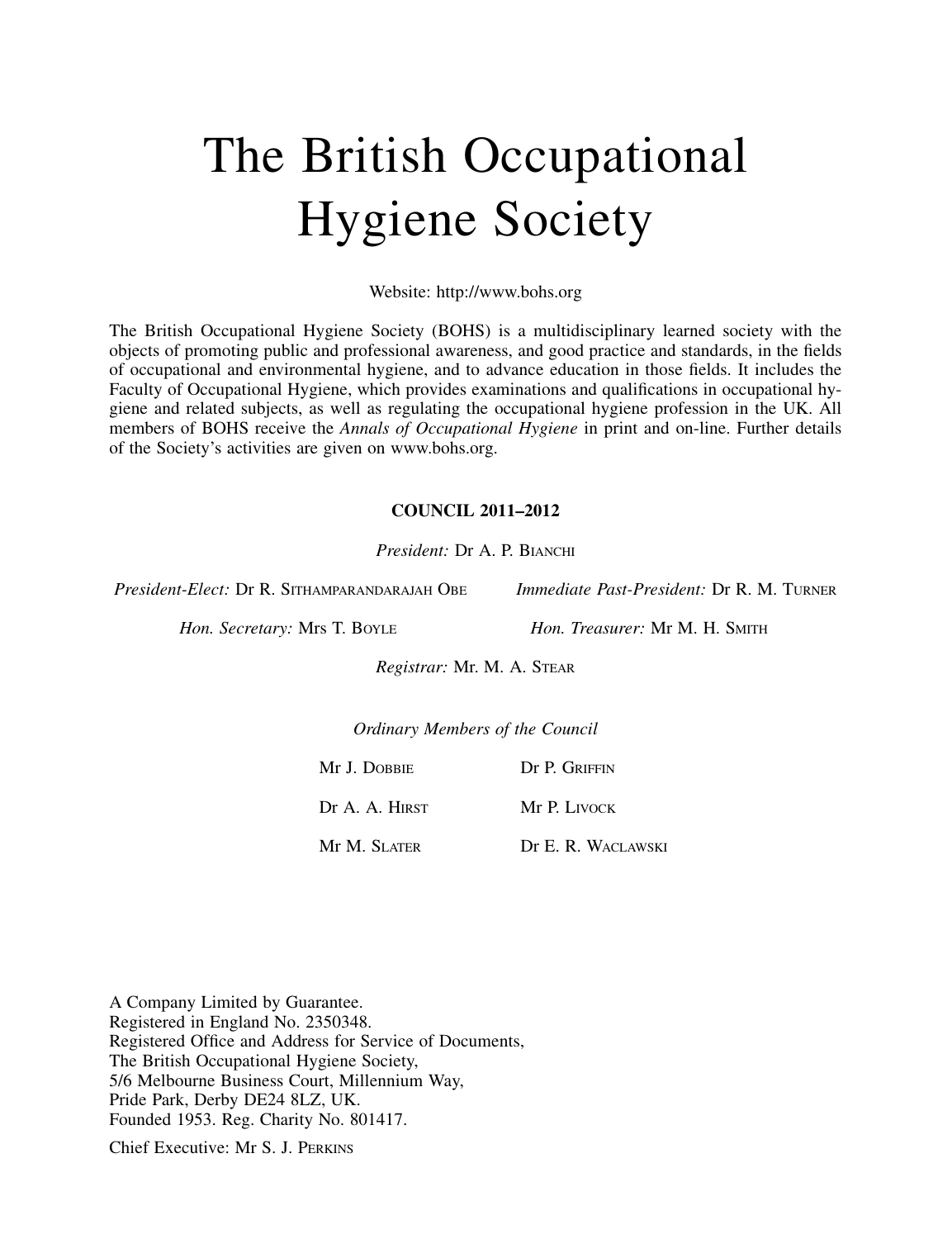## The British Occupational Hygiene Society

Website: http://www.bohs.org

The British Occupational Hygiene Society (BOHS) is a multidisciplinary learned society with the objects of promoting public and professional awareness, and good practice and standards, in the fields of occupational and environmental hygiene, and to advance education in those fields. It includes the Faculty of Occupational Hygiene, which provides examinations and qualifications in occupational hygiene and related subjects, as well as regulating the occupational hygiene profession in the UK. All members of BOHS receive the *Annals of Occupational Hygiene* in print and on-line. Further details of the Society's activities are given on www.bohs.org.

#### COUNCIL 2011–2012

President: Dr A. P. BIANCHI

President-Elect: Dr R. SITHAMPARANDARAJAH OBE Immediate Past-President: Dr R. M. TURNER

Hon. Secretary: Mrs T. BOYLE Hon. Treasurer: Mr M. H. SMITH

Registrar: Mr. M. A. STEAR

Ordinary Members of the Council

Mr J. DOBBIE Dr P. GRIFFIN

Dr A. A. HIRST Mr P. LIVOCK

Mr M. SLATER Dr E. R. WACLAWSKI

A Company Limited by Guarantee. Registered in England No. 2350348. Registered Office and Address for Service of Documents, The British Occupational Hygiene Society, 5/6 Melbourne Business Court, Millennium Way, Pride Park, Derby DE24 8LZ, UK. Founded 1953. Reg. Charity No. 801417.

Chief Executive: Mr S. J. PERKINS